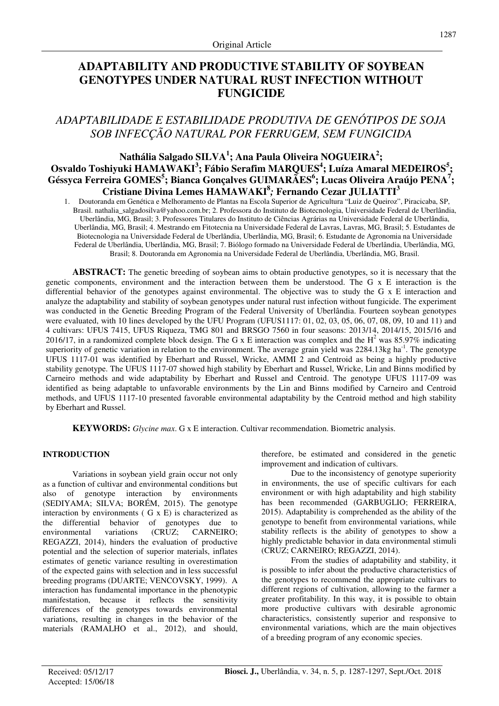# **ADAPTABILITY AND PRODUCTIVE STABILITY OF SOYBEAN GENOTYPES UNDER NATURAL RUST INFECTION WITHOUT FUNGICIDE**

# *ADAPTABILIDADE E ESTABILIDADE PRODUTIVA DE GENÓTIPOS DE SOJA SOB INFECÇÃO NATURAL POR FERRUGEM, SEM FUNGICIDA*

# **Nathália Salgado SILVA<sup>1</sup> ; Ana Paula Oliveira NOGUEIRA<sup>2</sup> ; Osvaldo Toshiyuki HAMAWAKI<sup>3</sup> ; Fábio Serafim MARQUES<sup>4</sup> ; Luíza Amaral MEDEIROS<sup>5</sup> ; Géssyca Ferreira GOMES<sup>5</sup> ; Bianca Gonçalves GUIMARÃES<sup>6</sup> ; Lucas Oliveira Araújo PENA<sup>7</sup> ; Cristiane Divina Lemes HAMAWAKI<sup>8</sup>** *;* **Fernando Cezar JULIATTI<sup>3</sup>**

1. Doutoranda em Genética e Melhoramento de Plantas na Escola Superior de Agricultura "Luiz de Queiroz", Piracicaba, SP, Brasil. nathalia\_salgadosilva@yahoo.com.br; 2. Professora do Instituto de Biotecnologia, Universidade Federal de Uberlândia, Uberlândia, MG, Brasil; 3. Professores Titulares do Instituto de Ciências Agrárias na Universidade Federal de Uberlândia, Uberlândia, MG, Brasil; 4. Mestrando em Fitotecnia na Universidade Federal de Lavras, Lavras, MG, Brasil; 5. Estudantes de Biotecnologia na Universidade Federal de Uberlândia, Uberlândia, MG, Brasil; 6. Estudante de Agronomia na Universidade Federal de Uberlândia, Uberlândia, MG, Brasil; 7. Biólogo formado na Universidade Federal de Uberlândia, Uberlândia, MG, Brasil; 8. Doutoranda em Agronomia na Universidade Federal de Uberlândia, Uberlândia, MG, Brasil.

**ABSTRACT:** The genetic breeding of soybean aims to obtain productive genotypes, so it is necessary that the genetic components, environment and the interaction between them be understood. The G x E interaction is the differential behavior of the genotypes against environmental. The objective was to study the G x E interaction and analyze the adaptability and stability of soybean genotypes under natural rust infection without fungicide. The experiment was conducted in the Genetic Breeding Program of the Federal University of Uberlândia. Fourteen soybean genotypes were evaluated, with 10 lines developed by the UFU Program (UFUS1117: 01, 02, 03, 05, 06, 07, 08, 09, 10 and 11) and 4 cultivars: UFUS 7415, UFUS Riqueza, TMG 801 and BRSGO 7560 in four seasons: 2013/14, 2014/15, 2015/16 and 2016/17, in a randomized complete block design. The G x E interaction was complex and the  $H^2$  was 85.97% indicating superiority of genetic variation in relation to the environment. The average grain yield was  $2284.13$ kg ha<sup>-1</sup>. The genotype UFUS 1117-01 was identified by Eberhart and Russel, Wricke, AMMI 2 and Centroid as being a highly productive stability genotype. The UFUS 1117-07 showed high stability by Eberhart and Russel, Wricke, Lin and Binns modified by Carneiro methods and wide adaptability by Eberhart and Russel and Centroid. The genotype UFUS 1117-09 was identified as being adaptable to unfavorable environments by the Lin and Binns modified by Carneiro and Centroid methods, and UFUS 1117-10 presented favorable environmental adaptability by the Centroid method and high stability by Eberhart and Russel.

**KEYWORDS:** *Glycine max*. G x E interaction. Cultivar recommendation. Biometric analysis.

## **INTRODUCTION**

Variations in soybean yield grain occur not only as a function of cultivar and environmental conditions but also of genotype interaction by environments (SEDIYAMA; SILVA; BORÉM, 2015). The genotype interaction by environments ( G x E) is characterized as the differential behavior of genotypes due to environmental variations (CRUZ; CARNEIRO; REGAZZI, 2014), hinders the evaluation of productive potential and the selection of superior materials, inflates estimates of genetic variance resulting in overestimation of the expected gains with selection and in less successful breeding programs (DUARTE; VENCOVSKY, 1999). A interaction has fundamental importance in the phenotypic manifestation, because it reflects the sensitivity differences of the genotypes towards environmental variations, resulting in changes in the behavior of the materials (RAMALHO et al., 2012), and should,

therefore, be estimated and considered in the genetic improvement and indication of cultivars.

Due to the inconsistency of genotype superiority in environments, the use of specific cultivars for each environment or with high adaptability and high stability has been recommended (GARBUGLIO; FERREIRA, 2015). Adaptability is comprehended as the ability of the genotype to benefit from environmental variations, while stability reflects is the ability of genotypes to show a highly predictable behavior in data environmental stimuli (CRUZ; CARNEIRO; REGAZZI, 2014).

From the studies of adaptability and stability, it is possible to infer about the productive characteristics of the genotypes to recommend the appropriate cultivars to different regions of cultivation, allowing to the farmer a greater profitability. In this way, it is possible to obtain more productive cultivars with desirable agronomic characteristics, consistently superior and responsive to environmental variations, which are the main objectives of a breeding program of any economic species.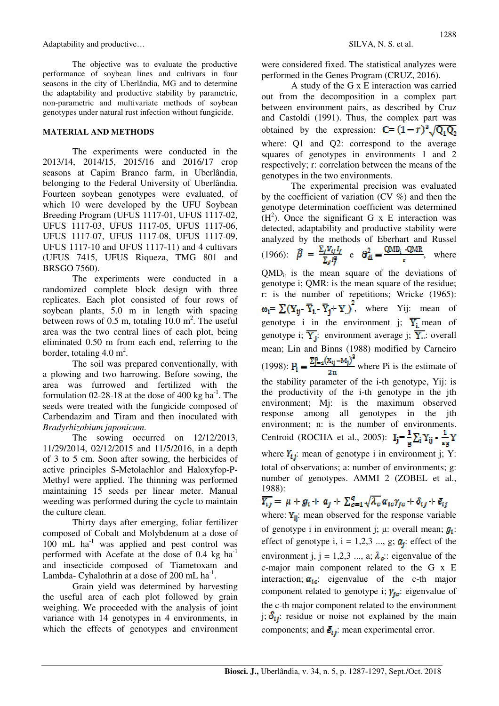Adaptability and productive… SILVA, N. S. et al.

The objective was to evaluate the productive performance of soybean lines and cultivars in four seasons in the city of Uberlândia, MG and to determine the adaptability and productive stability by parametric, non-parametric and multivariate methods of soybean genotypes under natural rust infection without fungicide.

## **MATERIAL AND METHODS**

The experiments were conducted in the 2013/14, 2014/15, 2015/16 and 2016/17 crop seasons at Capim Branco farm, in Uberlândia, belonging to the Federal University of Uberlândia. Fourteen soybean genotypes were evaluated, of which 10 were developed by the UFU Soybean Breeding Program (UFUS 1117-01, UFUS 1117-02, UFUS 1117-03, UFUS 1117-05, UFUS 1117-06, UFUS 1117-07, UFUS 1117-08, UFUS 1117-09, UFUS 1117-10 and UFUS 1117-11) and 4 cultivars (UFUS 7415, UFUS Riqueza, TMG 801 and BRSGO 7560).

The experiments were conducted in a randomized complete block design with three replicates. Each plot consisted of four rows of soybean plants, 5.0 m in length with spacing between rows of  $0.5$  m, totaling  $10.0$  m<sup>2</sup>. The useful area was the two central lines of each plot, being eliminated 0.50 m from each end, referring to the border, totaling  $4.0 \text{ m}^2$ .

The soil was prepared conventionally, with a plowing and two harrowing. Before sowing, the area was furrowed and fertilized with the formulation 02-28-18 at the dose of 400 kg ha<sup>-1</sup>. The seeds were treated with the fungicide composed of Carbendazim and Tiram and then inoculated with *Bradyrhizobium japonicum*.

The sowing occurred on  $12/12/2013$ , 11/29/2014, 02/12/2015 and 11/5/2016, in a depth of 3 to 5 cm. Soon after sowing, the herbicides of active principles S-Metolachlor and Haloxyfop-P-Methyl were applied. The thinning was performed maintaining 15 seeds per linear meter. Manual weeding was performed during the cycle to maintain the culture clean.

Thirty days after emerging, foliar fertilizer composed of Cobalt and Molybdenum at a dose of 100 mL  $ha^{-1}$  was applied and pest control was performed with Acefate at the dose of  $0.4 \text{ kg h}a^{-1}$ and insecticide composed of Tiametoxam and Lambda- Cyhalothrin at a dose of  $200$  mL ha<sup>-1</sup>.

Grain yield was determined by harvesting the useful area of each plot followed by grain weighing. We proceeded with the analysis of joint variance with 14 genotypes in 4 environments, in which the effects of genotypes and environment were considered fixed. The statistical analyzes were performed in the Genes Program (CRUZ, 2016).

A study of the G x E interaction was carried out from the decomposition in a complex part between environment pairs, as described by Cruz and Castoldi (1991). Thus, the complex part was obtained by the expression:  $C = (1 - r)^3 \sqrt{Q_1 Q_2}$ where: Q1 and Q2: correspond to the average squares of genotypes in environments 1 and 2 respectively; r: correlation between the means of the genotypes in the two environments.

The experimental precision was evaluated by the coefficient of variation (CV %) and then the genotype determination coefficient was determined  $(H<sup>2</sup>)$ . Once the significant G x E interaction was detected, adaptability and productive stability were analyzed by the methods of Eberhart and Russel (1966):  $\hat{\beta} = \frac{\sum_j Y_{ij}I_j}{\sum_j I_j^2}$  e  $\hat{\sigma}_{di}^2 = \frac{QMD_i - QMR}{r}$ , where  $QMD_{i}$  is the mean square of the deviations of genotype i; QMR: is the mean square of the residue; r: is the number of repetitions; Wricke (1965):  $\omega_i = \sum (Y_{ij} - \overline{Y}_{i} - \overline{Y}_{j} + Y)$ , where Yij: mean of genotype i in the environment j;  $\overline{Y_i}$  mean of genotype i;  $\overline{Y_i}$ : environment average j;  $\overline{Y_i}$ : overall mean; Lin and Binns (1988) modified by Carneiro (1998):  $P_1 = \frac{2j}{r} \frac{2j}{r}$  where Pi is the estimate of the stability parameter of the i-th genotype, Yij: is the productivity of the i-th genotype in the jth environment; Mj: is the maximum observed response among all genotypes in the jth environment; n: is the number of environments. Centroid (ROCHA et al., 2005):  $I_j = \frac{1}{g} \sum_i Y_{ij} - \frac{1}{ag} Y$ where  $Y_{ij}$ ; mean of genotype i in environment j; Y: total of observations; a: number of environments; g: number of genotypes. AMMI 2 (ZOBEL et al., 1988):<br>  $\overline{Y_{ij}} = \mu + g_i + a_j + \sum_{c=1}^{q} \sqrt{\lambda_c} \alpha_{ic} Y_{jc} + \delta_{ij} + \overline{e}_{ij}$ where:  $Y_{ii}$ : mean observed for the response variable

of genotype i in environment j;  $\mu$ : overall mean;  $g_i$ : effect of genotype i,  $i = 1,2,3, ..., g$ ;  $a<sub>j</sub>$ : effect of the environment j, j = 1,2,3 ..., a;  $\lambda_c$ : eigenvalue of the c-major main component related to the G x E interaction;  $a_{lc}$ : eigenvalue of the c-th major component related to genotype i;  $\gamma_{i}$ : eigenvalue of the c-th major component related to the environment j;  $\delta_{ij}$ : residue or noise not explained by the main components; and  $\bar{e}_{ij}$ : mean experimental error.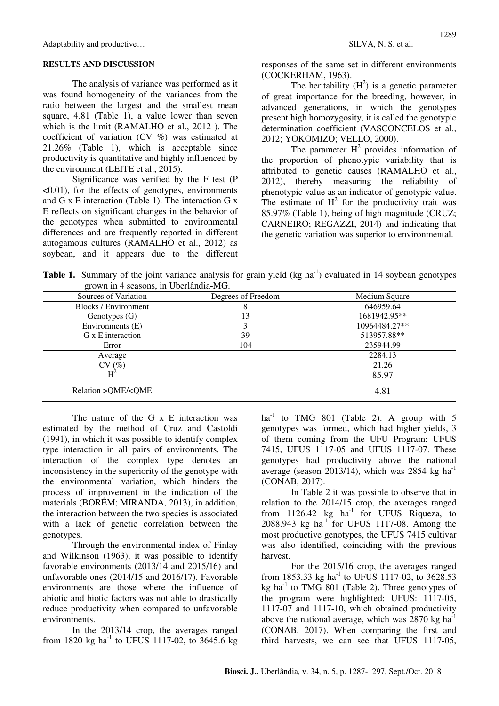Adaptability and productive… SILVA, N. S. et al.

#### **RESULTS AND DISCUSSION**

The analysis of variance was performed as it was found homogeneity of the variances from the ratio between the largest and the smallest mean square, 4.81 (Table 1), a value lower than seven which is the limit (RAMALHO et al., 2012 ). The coefficient of variation (CV %) was estimated at 21.26% (Table 1), which is acceptable since productivity is quantitative and highly influenced by the environment (LEITE et al., 2015).

Significance was verified by the F test (P  $\leq 0.01$ ), for the effects of genotypes, environments and G x E interaction (Table 1). The interaction G x E reflects on significant changes in the behavior of the genotypes when submitted to environmental differences and are frequently reported in different autogamous cultures (RAMALHO et al., 2012) as soybean, and it appears due to the different responses of the same set in different environments (COCKERHAM, 1963).

The heritability  $(H^2)$  is a genetic parameter of great importance for the breeding, however, in advanced generations, in which the genotypes present high homozygosity, it is called the genotypic determination coefficient (VASCONCELOS et al., 2012; YOKOMIZO; VELLO, 2000).

The parameter  $H^2$  provides information of the proportion of phenotypic variability that is attributed to genetic causes (RAMALHO et al., 2012), thereby measuring the reliability of phenotypic value as an indicator of genotypic value. The estimate of  $H<sup>2</sup>$  for the productivity trait was 85.97% (Table 1), being of high magnitude (CRUZ; CARNEIRO; REGAZZI, 2014) and indicating that the genetic variation was superior to environmental.

**Table 1.** Summary of the joint variance analysis for grain yield (kg ha<sup>-1</sup>) evaluated in 14 soybean genotypes grown in 4 seasons, in Uberlândia-MG.

| Degrees of Freedom | Medium Square |  |
|--------------------|---------------|--|
| 8                  | 646959.64     |  |
| 13                 | 1681942.95**  |  |
| 3                  | 10964484.27** |  |
| 39                 | 513957.88**   |  |
| 104                | 235944.99     |  |
|                    | 2284.13       |  |
|                    | 21.26         |  |
|                    | 85.97         |  |
|                    | 4.81          |  |
|                    |               |  |

The nature of the G x E interaction was estimated by the method of Cruz and Castoldi (1991), in which it was possible to identify complex type interaction in all pairs of environments. The interaction of the complex type denotes an inconsistency in the superiority of the genotype with the environmental variation, which hinders the process of improvement in the indication of the materials (BORÉM; MIRANDA, 2013), in addition, the interaction between the two species is associated with a lack of genetic correlation between the genotypes.

Through the environmental index of Finlay and Wilkinson (1963), it was possible to identify favorable environments (2013/14 and 2015/16) and unfavorable ones (2014/15 and 2016/17). Favorable environments are those where the influence of abiotic and biotic factors was not able to drastically reduce productivity when compared to unfavorable environments.

In the 2013/14 crop, the averages ranged from 1820 kg ha<sup>-1</sup> to UFUS 1117-02, to 3645.6 kg  $ha^{-1}$  to TMG 801 (Table 2). A group with 5 genotypes was formed, which had higher yields, 3 of them coming from the UFU Program: UFUS 7415, UFUS 1117-05 and UFUS 1117-07. These genotypes had productivity above the national average (season 2013/14), which was  $2854 \text{ kg} \text{ ha}^{-1}$ (CONAB, 2017).

In Table 2 it was possible to observe that in relation to the 2014/15 crop, the averages ranged from  $1126.42$  kg  $ha^{-1}$  for UFUS Riqueza, to 2088.943 kg ha<sup>-1</sup> for UFUS 1117-08. Among the most productive genotypes, the UFUS 7415 cultivar was also identified, coinciding with the previous harvest.

For the 2015/16 crop, the averages ranged from 1853.33 kg ha<sup>-1</sup> to UFUS 1117-02, to 3628.53 kg ha $^{-1}$  to TMG 801 (Table 2). Three genotypes of the program were highlighted: UFUS: 1117-05, 1117-07 and 1117-10, which obtained productivity above the national average, which was  $2870 \text{ kg} \text{ ha}^{-1}$ (CONAB, 2017). When comparing the first and third harvests, we can see that UFUS 1117-05,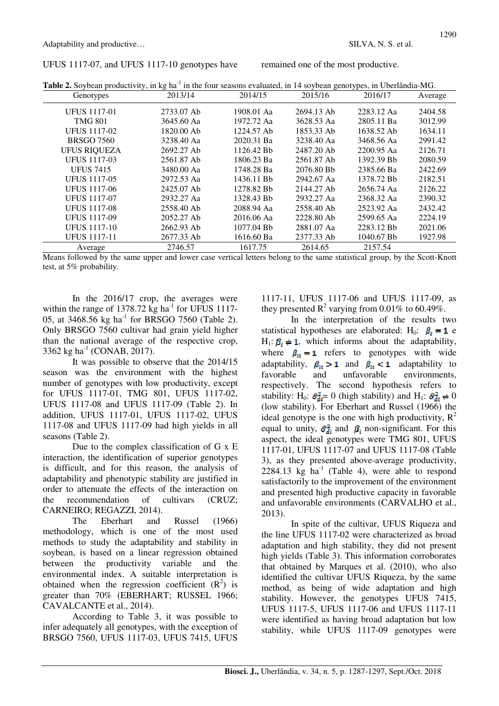## UFUS 1117-07, and UFUS 1117-10 genotypes have

remained one of the most productive.

| Table 2. Soybean productivity, in kg ha <sup>-1</sup> in the four seasons evaluated, in 14 soybean genotypes, in Uberlândia-MG. |            |            |            |            |         |
|---------------------------------------------------------------------------------------------------------------------------------|------------|------------|------------|------------|---------|
| Genotypes                                                                                                                       | 2013/14    | 2014/15    | 2015/16    | 2016/17    | Average |
| <b>UFUS 1117-01</b>                                                                                                             | 2733.07 Ab | 1908.01 Aa | 2694.13 Ab | 2283.12 Aa | 2404.58 |
| <b>TMG 801</b>                                                                                                                  | 3645.60 Aa | 1972.72 Aa | 3628.53 Aa | 2805.11 Ba | 3012.99 |
| <b>UFUS 1117-02</b>                                                                                                             | 1820.00 Ab | 1224.57 Ab | 1853.33 Ab | 1638.52 Ab | 1634.11 |
| <b>BRSGO 7560</b>                                                                                                               | 3238.40 Aa | 2020.31 Ba | 3238.40 Aa | 3468.56 Aa | 2991.42 |
| <b>UFUS RIQUEZA</b>                                                                                                             | 2692.27 Ab | 1126.42 Bb | 2487.20 Ab | 2200.95 Aa | 2126.71 |
| <b>UFUS 1117-03</b>                                                                                                             | 2561.87 Ab | 1806.23 Ba | 2561.87 Ab | 1392.39 Bb | 2080.59 |
| <b>UFUS 7415</b>                                                                                                                | 3480.00 Aa | 1748.28 Ba | 2076.80 Bb | 2385.66 Ba | 2422.69 |
| <b>UFUS 1117-05</b>                                                                                                             | 2972.53 Aa | 1436.11 Bb | 2942.67 Aa | 1378.72 Bb | 2182.51 |
| <b>UFUS 1117-06</b>                                                                                                             | 2425.07 Ab | 1278.82 Bb | 2144.27 Ab | 2656.74 Aa | 2126.22 |
| <b>UFUS 1117-07</b>                                                                                                             | 2932.27 Aa | 1328.43 Bb | 2932.27 Aa | 2368.32 Aa | 2390.32 |
| <b>UFUS 1117-08</b>                                                                                                             | 2558.40 Ab | 2088.94 Aa | 2558.40 Ab | 2523.92 Aa | 2432.42 |
| <b>UFUS 1117-09</b>                                                                                                             | 2052.27 Ab | 2016.06 Aa | 2228.80 Ab | 2599.65 Aa | 2224.19 |
| <b>UFUS 1117-10</b>                                                                                                             | 2662.93 Ab | 1077.04 Bb | 2881.07 Aa | 2283.12 Bb | 2021.06 |
| <b>UFUS 1117-11</b>                                                                                                             | 2677.33 Ab | 1616.60 Ba | 2377.33 Ab | 1040.67 Bb | 1927.98 |
| Average                                                                                                                         | 2746.57    | 1617.75    | 2614.65    | 2157.54    |         |

Means followed by the same upper and lower case vertical letters belong to the same statistical group, by the Scott-Knott test, at 5% probability.

In the  $2016/17$  crop, the averages were within the range of 1378.72  $\text{kg}$  ha<sup>-1</sup> for UFUS 1117-05, at 3468.56 kg ha<sup>-1</sup> for BRSGO 7560 (Table 2). Only BRSGO 7560 cultivar had grain yield higher than the national average of the respective crop, 3362 kg ha<sup>-1</sup> (CONAB, 2017).

It was possible to observe that the 2014/15 season was the environment with the highest number of genotypes with low productivity, except for UFUS 1117-01, TMG 801, UFUS 1117-02, UFUS 1117-08 and UFUS 1117-09 (Table 2). In addition, UFUS 1117-01, UFUS 1117-02, UFUS 1117-08 and UFUS 1117-09 had high yields in all seasons (Table 2).

Due to the complex classification of G x E interaction, the identification of superior genotypes is difficult, and for this reason, the analysis of adaptability and phenotypic stability are justified in order to attenuate the effects of the interaction on the recommendation of cultivars (CRUZ; CARNEIRO: REGAZZI, 2014).

The Eberhart and Russel  $(1966)$ methodology, which is one of the most used methods to study the adaptability and stability in soybean, is based on a linear regression obtained between the productivity variable and the environmental index. A suitable interpretation is obtained when the regression coefficient  $(R^2)$  is greater than 70% (EBERHART; RUSSEL 1966; CAVALCANTE et al., 2014).

According to Table 3, it was possible to infer adequately all genotypes, with the exception of BRSGO 7560, UFUS 1117-03, UFUS 7415, UFUS 1117-11, UFUS 1117-06 and UFUS 1117-09, as they presented  $R^2$  varying from 0.01% to 60.49%.

In the interpretation of the results two statistical hypotheses are elaborated: H<sub>0</sub>:  $\beta_i = 1$  e  $H_1: \beta_t \neq 1$ , which informs about the adaptability, where  $\beta_{tt} = 1$  refers to genotypes with wide adaptability,  $\beta_{ii} > 1$  and  $\beta_{ii} < 1$  adaptability to favorable and unfavorable environments, respectively. The second hypothesis refers to stability: H<sub>0</sub>:  $\hat{\sigma}_{di}^2 = 0$  (high stability) and H<sub>1</sub>:  $\hat{\sigma}_{di}^2 \neq 0$ (low stability). For Eberhart and Russel (1966) the ideal genotype is the one with high productivity,  $R^2$ equal to unity,  $\hat{\sigma}_{di}^2$  and  $\hat{\beta}_i$  non-significant. For this aspect, the ideal genotypes were TMG 801, UFUS 1117-01, UFUS 1117-07 and UFUS 1117-08 (Table 3), as they presented above-average productivity, 2284.13 kg  $ha^{-1}$  (Table 4), were able to respond satisfactorily to the improvement of the environment and presented high productive capacity in favorable and unfavorable environments (CARVALHO et al., 2013).

In spite of the cultivar, UFUS Riqueza and the line UFUS 1117-02 were characterized as broad adaptation and high stability, they did not present high yields (Table 3). This information corroborates that obtained by Marques et al. (2010), who also identified the cultivar UFUS Riqueza, by the same method, as being of wide adaptation and high stability. However, the genotypes UFUS 7415, UFUS 1117-5, UFUS 1117-06 and UFUS 1117-11 were identified as having broad adaptation but low stability, while UFUS 1117-09 genotypes were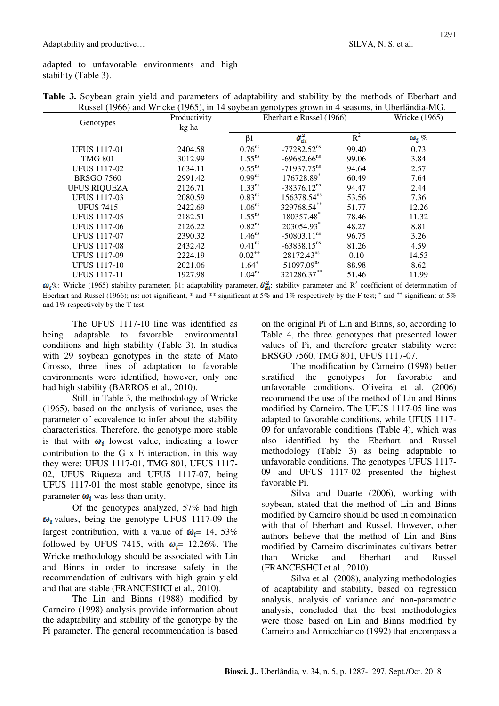adapted to unfavorable environments and high stability (Table 3).

| Genotypes           | Productivity<br>$kg$ ha <sup>-1</sup> | Trasser (1966) and $m$ here (1969), in TV so focan genery pes grown in Tseasons, in Coeraman MO.<br>Eberhart e Russel (1966) |                           |       | <b>Wricke</b> (1965) |
|---------------------|---------------------------------------|------------------------------------------------------------------------------------------------------------------------------|---------------------------|-------|----------------------|
|                     |                                       | $\beta$ 1                                                                                                                    | $\hat{\sigma}_{di}^2$     | $R^2$ | $\omega_i$ %         |
| <b>UFUS 1117-01</b> | 2404.58                               | $0.76^{ns}$                                                                                                                  | $-77282.52$ <sup>ns</sup> | 99.40 | 0.73                 |
| <b>TMG 801</b>      | 3012.99                               | $1.55^{ns}$                                                                                                                  | $-69682.66^{ns}$          | 99.06 | 3.84                 |
| <b>UFUS 1117-02</b> | 1634.11                               | $0.55^{ns}$                                                                                                                  | $-71937.75^{ns}$          | 94.64 | 2.57                 |
| <b>BRSGO 7560</b>   | 2991.42                               | $0.99^{ns}$                                                                                                                  | 176728.89*                | 60.49 | 7.64                 |
| <b>UFUS RIQUEZA</b> | 2126.71                               | 1.33 <sup>ns</sup>                                                                                                           | $-38376.12^{ns}$          | 94.47 | 2.44                 |
| <b>UFUS 1117-03</b> | 2080.59                               | 0.83 <sup>ns</sup>                                                                                                           | 156378.54 <sup>ns</sup>   | 53.56 | 7.36                 |
| <b>UFUS 7415</b>    | 2422.69                               | 1.06 <sup>ns</sup>                                                                                                           | 329768.54**               | 51.77 | 12.26                |
| <b>UFUS 1117-05</b> | 2182.51                               | $1.55^{ns}$                                                                                                                  | 180357.48*                | 78.46 | 11.32                |
| <b>UFUS 1117-06</b> | 2126.22                               | 0.82 <sup>ns</sup>                                                                                                           | 203054.93*                | 48.27 | 8.81                 |
| <b>UFUS 1117-07</b> | 2390.32                               | 1.46 <sup>ns</sup>                                                                                                           | $-50803.11^{\text{ns}}$   | 96.75 | 3.26                 |
| <b>UFUS 1117-08</b> | 2432.42                               | 0.41 <sup>ns</sup>                                                                                                           | $-63838.15^{ns}$          | 81.26 | 4.59                 |
| <b>UFUS 1117-09</b> | 2224.19                               | $0.02^{++}$                                                                                                                  | 28172.43 <sup>ns</sup>    | 0.10  | 14.53                |
| <b>UFUS 1117-10</b> | 2021.06                               | $1.64^{+}$                                                                                                                   | 51097.09 <sup>ns</sup>    | 88.98 | 8.62                 |
| <b>UFUS 1117-11</b> | 1927.98                               | $1.04^{ns}$                                                                                                                  | 321286.37**               | 51.46 | 11.99                |

Table 3. Soybean grain yield and parameters of adaptability and stability by the methods of Eberhart and Russel (1966) and Wricke (1965) in 14 sovbean genotypes grown in 4 seasons in Uberlândia-MG

 $\omega_i$ %: Wricke (1965) stability parameter;  $\beta$ 1: adaptability parameter,  $\hat{\sigma}_{di}^2$ : stability parameter and R<sup>2</sup> coefficient of determination of Eberhart and Russel (1966); ns: not significant, \* and \*\* significant at  $5\%$  and 1% respectively by the F test; + and ++ significant at  $5\%$ and 1% respectively by the T-test.

The UFUS 1117-10 line was identified as adaptable to favorable environmental being conditions and high stability (Table 3). In studies with 29 soybean genotypes in the state of Mato Grosso, three lines of adaptation to favorable environments were identified, however, only one had high stability (BARROS et al., 2010).

Still, in Table 3, the methodology of Wricke (1965), based on the analysis of variance, uses the parameter of ecovalence to infer about the stability characteristics. Therefore, the genotype more stable is that with  $\omega_i$  lowest value, indicating a lower contribution to the  $G \times E$  interaction, in this way they were: UFUS 1117-01. TMG 801. UFUS 1117-02, UFUS Riqueza and UFUS 1117-07, being UFUS 1117-01 the most stable genotype, since its parameter  $\omega_i$  was less than unity.

Of the genotypes analyzed, 57% had high  $\omega_i$  values, being the genotype UFUS 1117-09 the largest contribution, with a value of  $\omega_i = 14$ , 53% followed by UFUS 7415, with  $\omega_i$  = 12.26%. The Wricke methodology should be associated with Lin and Binns in order to increase safety in the recommendation of cultivars with high grain yield and that are stable (FRANCESHCI et al., 2010).

The Lin and Binns (1988) modified by Carneiro (1998) analysis provide information about the adaptability and stability of the genotype by the Pi parameter. The general recommendation is based on the original Pi of Lin and Binns, so, according to Table 4, the three genotypes that presented lower values of Pi, and therefore greater stability were: BRSGO 7560, TMG 801, UFUS 1117-07.

The modification by Carneiro (1998) better stratified the genotypes for favorable and unfavorable conditions. Oliveira et al. (2006) recommend the use of the method of Lin and Binns modified by Carneiro. The UFUS 1117-05 line was adapted to favorable conditions, while UFUS 1117-09 for unfavorable conditions (Table 4), which was also identified by the Eberhart and Russel methodology (Table 3) as being adaptable to unfavorable conditions. The genotypes UFUS 1117-09 and UFUS 1117-02 presented the highest favorable Pi.

Silva and Duarte (2006), working with soybean, stated that the method of Lin and Binns modified by Carneiro should be used in combination with that of Eberhart and Russel. However, other authors believe that the method of Lin and Bins modified by Carneiro discriminates cultivars better and than Wricke and Eberhart Russel (FRANCESHCI et al., 2010).

Silva et al. (2008), analyzing methodologies of adaptability and stability, based on regression analysis, analysis of variance and non-parametric analysis, concluded that the best methodologies were those based on Lin and Binns modified by Carneiro and Annicchiarico (1992) that encompass a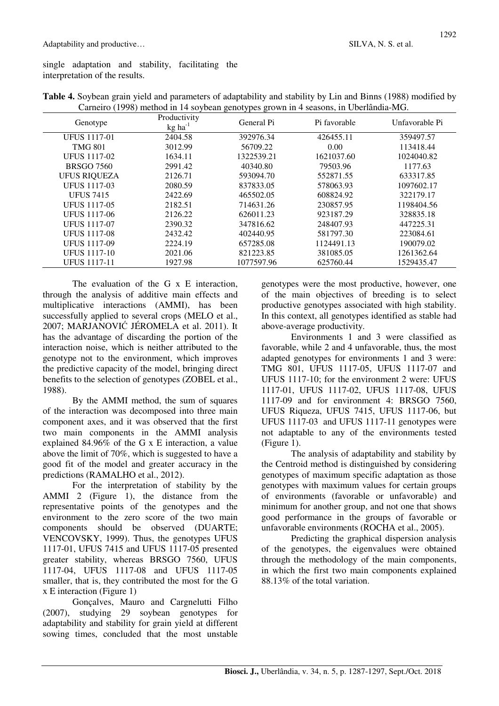single adaptation and stability, facilitating the interpretation of the results.

| Genotype            | Productivity<br>$kg$ ha <sup>-1</sup> | $\circ$<br>General Pi | Pi favorable | Unfavorable Pi |
|---------------------|---------------------------------------|-----------------------|--------------|----------------|
| <b>UFUS 1117-01</b> | 2404.58                               | 392976.34             | 426455.11    | 359497.57      |
| <b>TMG 801</b>      | 3012.99                               | 56709.22              | 0.00         | 113418.44      |
| <b>UFUS 1117-02</b> | 1634.11                               | 1322539.21            | 1621037.60   | 1024040.82     |
| <b>BRSGO 7560</b>   | 2991.42                               | 40340.80              | 79503.96     | 1177.63        |
| <b>UFUS RIQUEZA</b> | 2126.71                               | 593094.70             | 552871.55    | 633317.85      |
| <b>UFUS 1117-03</b> | 2080.59                               | 837833.05             | 578063.93    | 1097602.17     |
| <b>UFUS 7415</b>    | 2422.69                               | 465502.05             | 608824.92    | 322179.17      |
| <b>UFUS 1117-05</b> | 2182.51                               | 714631.26             | 230857.95    | 1198404.56     |
| <b>UFUS 1117-06</b> | 2126.22                               | 626011.23             | 923187.29    | 328835.18      |
| <b>UFUS 1117-07</b> | 2390.32                               | 347816.62             | 248407.93    | 447225.31      |
| <b>UFUS 1117-08</b> | 2432.42                               | 402440.95             | 581797.30    | 223084.61      |
| <b>UFUS 1117-09</b> | 2224.19                               | 657285.08             | 1124491.13   | 190079.02      |
| <b>UFUS 1117-10</b> | 2021.06                               | 821223.85             | 381085.05    | 1261362.64     |
| <b>UFUS</b> 1117-11 | 1927.98                               | 1077597.96            | 625760.44    | 1529435.47     |

**Table 4.** Soybean grain yield and parameters of adaptability and stability by Lin and Binns (1988) modified by Carneiro (1998) method in 14 soybean genotypes grown in 4 seasons, in Uberlândia-MG.

The evaluation of the G x E interaction. through the analysis of additive main effects and multiplicative interactions (AMMI), has been successfully applied to several crops (MELO et al., 2007; MARJANOVIĆ JÉROMELA et al. 2011). It has the advantage of discarding the portion of the interaction noise, which is neither attributed to the genotype not to the environment, which improves the predictive capacity of the model, bringing direct benefits to the selection of genotypes (ZOBEL et al., 1988).

By the AMMI method, the sum of squares of the interaction was decomposed into three main component axes, and it was observed that the first two main components in the AMMI analysis explained 84.96% of the G x E interaction, a value above the limit of 70%, which is suggested to have a good fit of the model and greater accuracy in the predictions (RAMALHO et al., 2012).

For the interpretation of stability by the AMMI 2 (Figure 1), the distance from the representative points of the genotypes and the environment to the zero score of the two main components should be observed (DUARTE; VENCOVSKY, 1999). Thus, the genotypes UFUS 1117-01, UFUS 7415 and UFUS 1117-05 presented greater stability, whereas BRSGO 7560, UFUS 1117-04, UFUS 1117-08 and UFUS 1117-05 smaller, that is, they contributed the most for the G x E interaction (Figure 1)

Gonçalves, Mauro and Cargnelutti Filho (2007), studying 29 soybean genotypes for adaptability and stability for grain yield at different sowing times, concluded that the most unstable genotypes were the most productive, however, one of the main objectives of breeding is to select productive genotypes associated with high stability. In this context, all genotypes identified as stable had above-average productivity.

Environments 1 and 3 were classified as favorable, while 2 and 4 unfavorable, thus, the most adapted genotypes for environments 1 and 3 were: TMG 801, UFUS 1117-05, UFUS 1117-07 and UFUS 1117-10; for the environment 2 were: UFUS 1117-01, UFUS 1117-02, UFUS 1117-08, UFUS 1117-09 and for environment 4: BRSGO 7560, UFUS Riqueza, UFUS 7415, UFUS 1117-06, but UFUS 1117-03 and UFUS 1117-11 genotypes were not adaptable to any of the environments tested (Figure 1).

The analysis of adaptability and stability by the Centroid method is distinguished by considering genotypes of maximum specific adaptation as those genotypes with maximum values for certain groups of environments (favorable or unfavorable) and minimum for another group, and not one that shows good performance in the groups of favorable or unfavorable environments (ROCHA et al., 2005).

Predicting the graphical dispersion analysis of the genotypes, the eigenvalues were obtained through the methodology of the main components, in which the first two main components explained 88.13% of the total variation.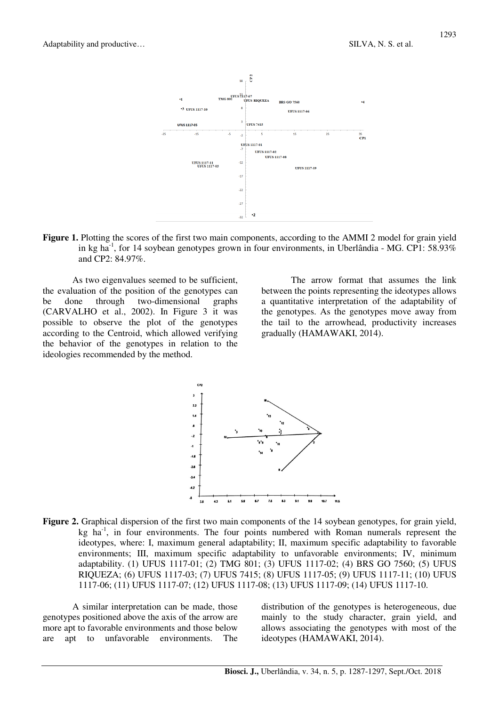

**Figure 1.** Plotting the scores of the first two main components, according to the AMMI 2 model for grain yield in kg ha<sup>-1</sup>, for 14 soybean genotypes grown in four environments, in Uberlândia - MG. CP1: 58.93% and CP2: 84.97%.

As two eigenvalues seemed to be sufficient, the evaluation of the position of the genotypes can be done through two-dimensional graphs (CARVALHO et al., 2002). In Figure 3 it was possible to observe the plot of the genotypes according to the Centroid, which allowed verifying the behavior of the genotypes in relation to the ideologies recommended by the method.

The arrow format that assumes the link between the points representing the ideotypes allows a quantitative interpretation of the adaptability of the genotypes. As the genotypes move away from the tail to the arrowhead, productivity increases gradually (HAMAWAKI, 2014).



**Figure 2.** Graphical dispersion of the first two main components of the 14 soybean genotypes, for grain yield, kg ha<sup>-1</sup>, in four environments. The four points numbered with Roman numerals represent the ideotypes, where: I, maximum general adaptability; II, maximum specific adaptability to favorable environments; III, maximum specific adaptability to unfavorable environments; IV, minimum adaptability. (1) UFUS 1117-01; (2) TMG 801; (3) UFUS 1117-02; (4) BRS GO 7560; (5) UFUS RIQUEZA; (6) UFUS 1117-03; (7) UFUS 7415; (8) UFUS 1117-05; (9) UFUS 1117-11; (10) UFUS 1117-06; (11) UFUS 1117-07; (12) UFUS 1117-08; (13) UFUS 1117-09; (14) UFUS 1117-10.

A similar interpretation can be made, those genotypes positioned above the axis of the arrow are more apt to favorable environments and those below are apt to unfavorable environments. The distribution of the genotypes is heterogeneous, due mainly to the study character, grain yield, and allows associating the genotypes with most of the ideotypes (HAMAWAKI, 2014).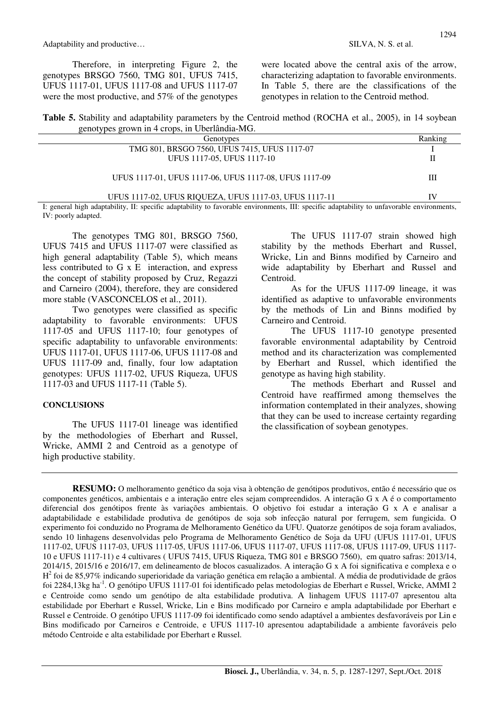Therefore, in interpreting Figure 2, the genotypes BRSGO 7560, TMG 801, UFUS 7415, UFUS 1117-01, UFUS 1117-08 and UFUS 1117-07 were the most productive, and 57% of the genotypes

were located above the central axis of the arrow, characterizing adaptation to favorable environments. In Table 5, there are the classifications of the genotypes in relation to the Centroid method.

**Table 5.** Stability and adaptability parameters by the Centroid method (ROCHA et al., 2005), in 14 soybean genotypes grown in 4 crops, in Uberlândia-MG.

| Genotypes                                              | Ranking |
|--------------------------------------------------------|---------|
| TMG 801, BRSGO 7560, UFUS 7415, UFUS 1117-07           |         |
| UFUS 1117-05, UFUS 1117-10                             | П       |
|                                                        |         |
| UFUS 1117-01, UFUS 1117-06, UFUS 1117-08, UFUS 1117-09 | Ш       |
|                                                        |         |
| UFUS 1117-02, UFUS RIQUEZA, UFUS 1117-03, UFUS 1117-11 | IV      |

I: general high adaptability, II: specific adaptability to favorable environments, III: specific adaptability to unfavorable environments, IV: poorly adapted.

The genotypes TMG 801, BRSGO 7560, UFUS 7415 and UFUS 1117-07 were classified as high general adaptability (Table 5), which means less contributed to G x E interaction, and express the concept of stability proposed by Cruz, Regazzi and Carneiro (2004), therefore, they are considered more stable (VASCONCELOS et al., 2011).

Two genotypes were classified as specific adaptability to favorable environments: UFUS 1117-05 and UFUS 1117-10; four genotypes of specific adaptability to unfavorable environments: UFUS 1117-01, UFUS 1117-06, UFUS 1117-08 and UFUS 1117-09 and, finally, four low adaptation genotypes: UFUS 1117-02, UFUS Riqueza, UFUS 1117-03 and UFUS 1117-11 (Table 5).

#### **CONCLUSIONS**

The UFUS 1117-01 lineage was identified by the methodologies of Eberhart and Russel, Wricke, AMMI 2 and Centroid as a genotype of high productive stability.

The UFUS 1117-07 strain showed high stability by the methods Eberhart and Russel, Wricke, Lin and Binns modified by Carneiro and wide adaptability by Eberhart and Russel and Centroid.

As for the UFUS 1117-09 lineage, it was identified as adaptive to unfavorable environments by the methods of Lin and Binns modified by Carneiro and Centroid.

The UFUS 1117-10 genotype presented favorable environmental adaptability by Centroid method and its characterization was complemented by Eberhart and Russel, which identified the genotype as having high stability.

The methods Eberhart and Russel and Centroid have reaffirmed among themselves the information contemplated in their analyzes, showing that they can be used to increase certainty regarding the classification of soybean genotypes.

**RESUMO:** O melhoramento genético da soja visa à obtenção de genótipos produtivos, então é necessário que os componentes genéticos, ambientais e a interação entre eles sejam compreendidos. A interação G x A é o comportamento diferencial dos genótipos frente às variações ambientais. O objetivo foi estudar a interação G x A e analisar a adaptabilidade e estabilidade produtiva de genótipos de soja sob infecção natural por ferrugem, sem fungicida. O experimento foi conduzido no Programa de Melhoramento Genético da UFU. Quatorze genótipos de soja foram avaliados, sendo 10 linhagens desenvolvidas pelo Programa de Melhoramento Genético de Soja da UFU (UFUS 1117-01, UFUS 1117-02, UFUS 1117-03, UFUS 1117-05, UFUS 1117-06, UFUS 1117-07, UFUS 1117-08, UFUS 1117-09, UFUS 1117- 10 e UFUS 1117-11) e 4 cultivares ( UFUS 7415, UFUS Riqueza, TMG 801 e BRSGO 7560), em quatro safras: 2013/14, 2014/15, 2015/16 e 2016/17, em delineamento de blocos casualizados. A interação G x A foi significativa e complexa e o H<sup>2</sup> foi de 85,97% indicando superioridade da variação genética em relação a ambiental. A média de produtividade de grãos foi 2284,13kg ha<sup>-1</sup>. O genótipo UFUS 1117-01 foi identificado pelas metodologias de Eberhart e Russel, Wricke, AMMI 2 e Centroide como sendo um genótipo de alta estabilidade produtiva. A linhagem UFUS 1117-07 apresentou alta estabilidade por Eberhart e Russel, Wricke, Lin e Bins modificado por Carneiro e ampla adaptabilidade por Eberhart e Russel e Centroide. O genótipo UFUS 1117-09 foi identificado como sendo adaptável a ambientes desfavoráveis por Lin e Bins modificado por Carneiros e Centroide, e UFUS 1117-10 apresentou adaptabilidade a ambiente favoráveis pelo método Centroide e alta estabilidade por Eberhart e Russel.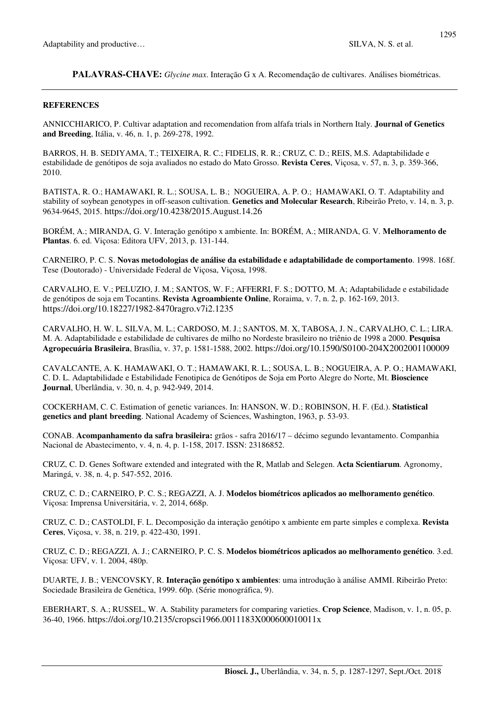**PALAVRAS-CHAVE:** *Glycine max*. Interação G x A. Recomendação de cultivares. Análises biométricas.

### **REFERENCES**

ANNICCHIARICO, P. Cultivar adaptation and recomendation from alfafa trials in Northern Italy. **Journal of Genetics and Breeding**, Itália, v. 46, n. 1, p. 269-278, 1992.

BARROS, H. B. SEDIYAMA, T.; TEIXEIRA, R. C.; FIDELIS, R. R.; CRUZ, C. D.; REIS, M.S. Adaptabilidade e estabilidade de genótipos de soja avaliados no estado do Mato Grosso. **Revista Ceres**, Viçosa, v. 57, n. 3, p. 359-366, 2010.

BATISTA, R. O.; HAMAWAKI, R. L.; SOUSA, L. B.; NOGUEIRA, A. P. O.; HAMAWAKI, O. T. Adaptability and stability of soybean genotypes in off-season cultivation. **Genetics and Molecular Research**, Ribeirão Preto, v. 14, n. 3, p. 9634-9645, 2015. https://doi.org/10.4238/2015.August.14.26

BORÉM, A.; MIRANDA, G. V. Interação genótipo x ambiente. In: BORÉM, A.; MIRANDA, G. V. **Melhoramento de Plantas**. 6. ed. Viçosa: Editora UFV, 2013, p. 131-144.

CARNEIRO, P. C. S. **Novas metodologias de análise da estabilidade e adaptabilidade de comportamento**. 1998. 168f. Tese (Doutorado) - Universidade Federal de Viçosa, Viçosa, 1998.

CARVALHO, E. V.; PELUZIO, J. M.; SANTOS, W. F.; AFFERRI, F. S.; DOTTO, M. A; Adaptabilidade e estabilidade de genótipos de soja em Tocantins. **Revista Agroambiente Online**, Roraima, v. 7, n. 2, p. 162-169, 2013. https://doi.org/10.18227/1982-8470ragro.v7i2.1235

CARVALHO, H. W. L. SILVA, M. L.; CARDOSO, M. J.; SANTOS, M. X, TABOSA, J. N., CARVALHO, C. L.; LIRA. M. A. Adaptabilidade e estabilidade de cultivares de milho no Nordeste brasileiro no triênio de 1998 a 2000. **Pesquisa Agropecuária Brasileira**, Brasília, v. 37, p. 1581-1588, 2002. https://doi.org/10.1590/S0100-204X2002001100009

CAVALCANTE, A. K. HAMAWAKI, O. T.; HAMAWAKI, R. L.; SOUSA, L. B.; NOGUEIRA, A. P. O.; HAMAWAKI, C. D. L. Adaptabilidade e Estabilidade Fenotipica de Genótipos de Soja em Porto Alegre do Norte, Mt. **Bioscience Journal**, Uberlândia, v. 30, n. 4, p. 942-949, 2014.

COCKERHAM, C. C. Estimation of genetic variances. In: HANSON, W. D.; ROBINSON, H. F. (Ed.). **Statistical genetics and plant breeding**. National Academy of Sciences, Washington, 1963, p. 53-93.

CONAB. **Acompanhamento da safra brasileira:** grãos - safra 2016/17 – décimo segundo levantamento. Companhia Nacional de Abastecimento, v. 4, n. 4, p. 1-158, 2017. ISSN: 23186852.

CRUZ, C. D. Genes Software extended and integrated with the R, Matlab and Selegen. **Acta Scientiarum**. Agronomy, Maringá, v. 38, n. 4, p. 547-552, 2016.

CRUZ, C. D.; CARNEIRO, P. C. S.; REGAZZI, A. J. **Modelos biométricos aplicados ao melhoramento genético**. Viçosa: Imprensa Universitária, v. 2, 2014, 668p.

CRUZ, C. D.; CASTOLDI, F. L. Decomposição da interação genótipo x ambiente em parte simples e complexa. **Revista Ceres**, Viçosa, v. 38, n. 219, p. 422-430, 1991.

CRUZ, C. D.; REGAZZI, A. J.; CARNEIRO, P. C. S. **Modelos biométricos aplicados ao melhoramento genético**. 3.ed. Viçosa: UFV, v. 1. 2004, 480p.

DUARTE, J. B.; VENCOVSKY, R. **Interação genótipo x ambientes**: uma introdução à análise AMMI. Ribeirão Preto: Sociedade Brasileira de Genética, 1999. 60p. (Série monográfica, 9).

EBERHART, S. A.; RUSSEL, W. A. Stability parameters for comparing varieties. **Crop Science**, Madison, v. 1, n. 05, p. 36-40, 1966. https://doi.org/10.2135/cropsci1966.0011183X000600010011x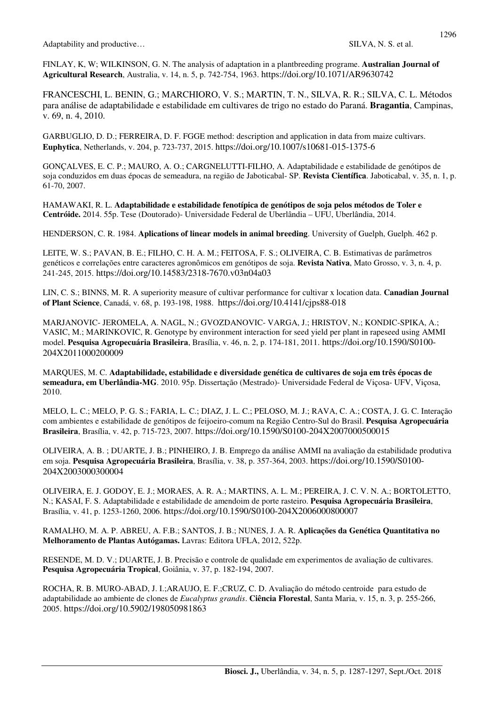FINLAY, K, W; WILKINSON, G. N. The analysis of adaptation in a plantbreeding programe. **Australian Journal of Agricultural Research**, Australia, v. 14, n. 5, p. 742-754, 1963. https://doi.org/10.1071/AR9630742

FRANCESCHI, L. BENIN, G.; MARCHIORO, V. S.; MARTIN, T. N., SILVA, R. R.; SILVA, C. L. Métodos para análise de adaptabilidade e estabilidade em cultivares de trigo no estado do Paraná. **Bragantia**, Campinas, v. 69, n. 4, 2010.

GARBUGLIO, D. D.; FERREIRA, D. F. FGGE method: description and application in data from maize cultivars. **Euphytica**, Netherlands, v. 204, p. 723-737, 2015. https://doi.org/10.1007/s10681-015-1375-6

GONÇALVES, E. C. P.; MAURO, A. O.; CARGNELUTTI-FILHO, A. Adaptabilidade e estabilidade de genótipos de soja conduzidos em duas épocas de semeadura, na região de Jaboticabal- SP. **Revista Científica**. Jaboticabal, v. 35, n. 1, p. 61-70, 2007.

HAMAWAKI, R. L. **Adaptabilidade e estabilidade fenotípica de genótipos de soja pelos métodos de Toler e Centróide.** 2014. 55p. Tese (Doutorado)- Universidade Federal de Uberlândia – UFU, Uberlândia, 2014.

HENDERSON, C. R. 1984. **Aplications of linear models in animal breeding**. University of Guelph, Guelph. 462 p.

LEITE, W. S.; PAVAN, B. E.; FILHO, C. H. A. M.; FEITOSA, F. S.; OLIVEIRA, C. B. Estimativas de parâmetros genéticos e correlações entre caracteres agronômicos em genótipos de soja. **Revista Nativa**, Mato Grosso, v. 3, n. 4, p. 241-245, 2015. https://doi.org/10.14583/2318-7670.v03n04a03

LIN, C. S.; BINNS, M. R. A superiority measure of cultivar performance for cultivar x location data. **Canadian Journal of Plant Science**, Canadá, v. 68, p. 193-198, 1988. https://doi.org/10.4141/cjps88-018

MARJANOVIC- JEROMELA, A. NAGL, N.; GVOZDANOVIC- VARGA, J.; HRISTOV, N.; KONDIC-SPIKA, A.; VASIC, M.; MARINKOVIC, R. Genotype by environment interaction for seed yield per plant in rapeseed using AMMI model. **Pesquisa Agropecuária Brasileira**, Brasília, v. 46, n. 2, p. 174-181, 2011. https://doi.org/10.1590/S0100- 204X2011000200009

MARQUES, M. C. **Adaptabilidade, estabilidade e diversidade genética de cultivares de soja em três épocas de semeadura, em Uberlândia-MG**. 2010. 95p. Dissertação (Mestrado)- Universidade Federal de Viçosa- UFV, Viçosa, 2010.

MELO, L. C.; MELO, P. G. S.; FARIA, L. C.; DIAZ, J. L. C.; PELOSO, M. J.; RAVA, C. A.; COSTA, J. G. C. Interação com ambientes e estabilidade de genótipos de feijoeiro-comum na Região Centro-Sul do Brasil. **Pesquisa Agropecuária Brasileira**, Brasília, v. 42, p. 715-723, 2007. https://doi.org/10.1590/S0100-204X2007000500015

OLIVEIRA, A. B. ; DUARTE, J. B.; PINHEIRO, J. B. Emprego da análise AMMI na avaliação da estabilidade produtiva em soja. **Pesquisa Agropecuária Brasileira**, Brasília, v. 38, p. 357-364, 2003. https://doi.org/10.1590/S0100- 204X2003000300004

OLIVEIRA, E. J. GODOY, E. J.; MORAES, A. R. A.; MARTINS, A. L. M.; PEREIRA, J. C. V. N. A.; BORTOLETTO, N.; KASAI, F. S. Adaptabilidade e estabilidade de amendoim de porte rasteiro. **Pesquisa Agropecuária Brasileira**, Brasília, v. 41, p. 1253-1260, 2006. https://doi.org/10.1590/S0100-204X2006000800007

RAMALHO, M. A. P. ABREU, A. F.B.; SANTOS, J. B.; NUNES, J. A. R. **Aplicações da Genética Quantitativa no Melhoramento de Plantas Autógamas.** Lavras: Editora UFLA, 2012, 522p.

RESENDE, M. D. V.; DUARTE, J. B. Precisão e controle de qualidade em experimentos de avaliação de cultivares. **Pesquisa Agropecuária Tropical**, Goiânia, v. 37, p. 182-194, 2007.

ROCHA, R. B. MURO-ABAD, J. I.;ARAUJO, E. F.;CRUZ, C. D. Avaliação do método centroide para estudo de adaptabilidade ao ambiente de clones de *Eucalyptus grandis*. **Ciência Florestal**, Santa Maria, v. 15, n. 3, p. 255-266, 2005. https://doi.org/10.5902/198050981863